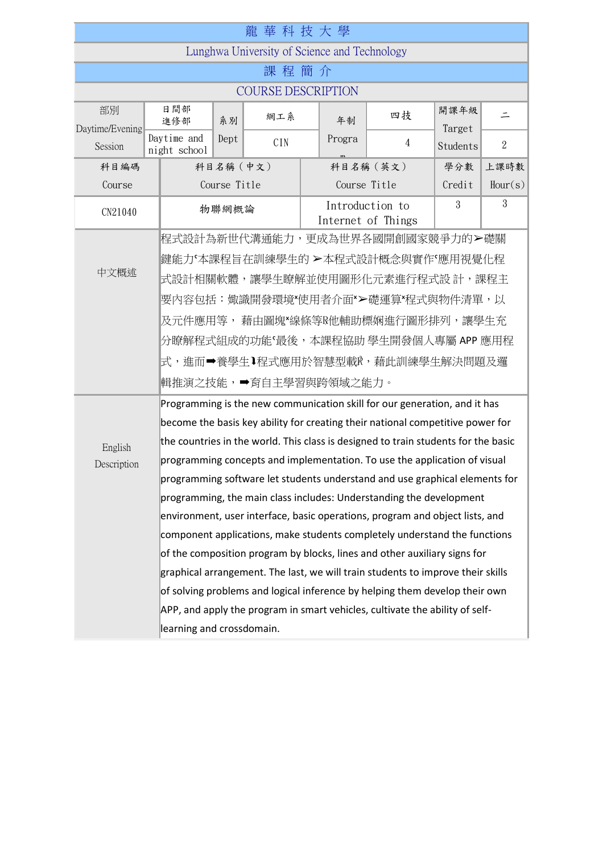|                                                                              |                             |                                                                                    | 龍華科技大學 |  |              |                                                                                 |                |                |  |
|------------------------------------------------------------------------------|-----------------------------|------------------------------------------------------------------------------------|--------|--|--------------|---------------------------------------------------------------------------------|----------------|----------------|--|
| Lunghwa University of Science and Technology                                 |                             |                                                                                    |        |  |              |                                                                                 |                |                |  |
| 課 程 簡<br>介                                                                   |                             |                                                                                    |        |  |              |                                                                                 |                |                |  |
| <b>COURSE DESCRIPTION</b>                                                    |                             |                                                                                    |        |  |              |                                                                                 |                |                |  |
| 部別<br>Daytime/Evening                                                        | 日間部<br>進修部                  | 系別                                                                                 | 網工系    |  | 年制           | 四技                                                                              | 開課年級<br>Target | 드              |  |
| Session                                                                      | Daytime and<br>night school | Dept                                                                               | CIN    |  | Progra       | 4                                                                               | Students       | $\overline{2}$ |  |
| 科目編碼                                                                         |                             | 科目名稱 (中文)                                                                          |        |  |              | 科目名稱 (英文)                                                                       | 學分數            | 上課時數           |  |
| Course                                                                       |                             | Course Title                                                                       |        |  | Course Title |                                                                                 | Credit         | Hour(s)        |  |
| CN21040                                                                      |                             | 物聯網概論                                                                              |        |  |              | Introduction to<br>Internet of Things                                           | 3              | 3              |  |
|                                                                              |                             | 程式設計為新世代溝通能力,更成為世界各國開創國家競爭力的>礎關                                                    |        |  |              |                                                                                 |                |                |  |
|                                                                              |                             | 鍵能力「本課程旨在訓練學生的 ≻本程式設計概念與實作「應用視覺化程                                                  |        |  |              |                                                                                 |                |                |  |
| 中文概述                                                                         |                             | 式設計相關軟體,讓學生瞭解並使用圖形化元素進行程式設 計,課程主                                                   |        |  |              |                                                                                 |                |                |  |
|                                                                              |                             | 要內容包括:娵識開發環境*使用者介面*>礎運算*程式與物件清單,以                                                  |        |  |              |                                                                                 |                |                |  |
|                                                                              |                             | 及元件應用等, 藉由圖塊*線條等R他輔助標娴進行圖形排列,讓學生充                                                  |        |  |              |                                                                                 |                |                |  |
|                                                                              |                             | 分瞭解程式組成的功能'最後,本課程協助 學生開發個人專屬 APP 應用程                                               |        |  |              |                                                                                 |                |                |  |
|                                                                              |                             | 式,進而➡養學生↓程式應用於智慧型載℟,藉此訓練學生解決問題及邏                                                   |        |  |              |                                                                                 |                |                |  |
|                                                                              |                             | 輯推演之技能,➡育自主學習與跨領域之能力。                                                              |        |  |              |                                                                                 |                |                |  |
|                                                                              |                             | Programming is the new communication skill for our generation, and it has          |        |  |              |                                                                                 |                |                |  |
|                                                                              |                             | become the basis key ability for creating their national competitive power for     |        |  |              |                                                                                 |                |                |  |
| English                                                                      |                             | the countries in the world. This class is designed to train students for the basic |        |  |              |                                                                                 |                |                |  |
| Description                                                                  |                             |                                                                                    |        |  |              | programming concepts and implementation. To use the application of visual       |                |                |  |
|                                                                              |                             | programming software let students understand and use graphical elements for        |        |  |              |                                                                                 |                |                |  |
|                                                                              |                             |                                                                                    |        |  |              | programming, the main class includes: Understanding the development             |                |                |  |
|                                                                              |                             |                                                                                    |        |  |              | environment, user interface, basic operations, program and object lists, and    |                |                |  |
|                                                                              |                             | component applications, make students completely understand the functions          |        |  |              |                                                                                 |                |                |  |
|                                                                              |                             | of the composition program by blocks, lines and other auxiliary signs for          |        |  |              |                                                                                 |                |                |  |
|                                                                              |                             |                                                                                    |        |  |              | graphical arrangement. The last, we will train students to improve their skills |                |                |  |
|                                                                              |                             | of solving problems and logical inference by helping them develop their own        |        |  |              |                                                                                 |                |                |  |
| APP, and apply the program in smart vehicles, cultivate the ability of self- |                             |                                                                                    |        |  |              |                                                                                 |                |                |  |
|                                                                              | learning and crossdomain.   |                                                                                    |        |  |              |                                                                                 |                |                |  |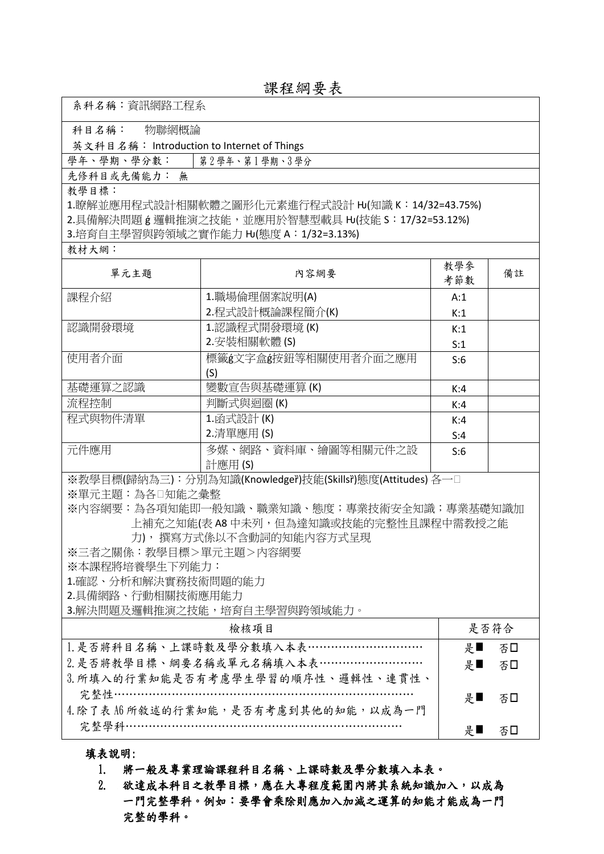| 課程綱要表 |  |  |
|-------|--|--|
|-------|--|--|

|  |  | 系科名稱:資訊網路工程系 |
|--|--|--------------|
|--|--|--------------|

科目名稱: 物聯網概論

英文科目名稱: Introduction to Internet of Things

學年、學期、學分數: | 第2學年、第1學期、3學分

先修科目或先備能力: 無

教學目標:

1.瞭解並應用程式設計相關軟體之圖形化元素進行程式設計 HJ(知識 K: 14/32=43.75%) 2.具備解決問題 g 邏輯推演之技能,並應用於智慧型載具 HJ(技能 S: 17/32=53.12%) 3.培育自主學習與跨領域之實作能力 HJ(態度 A: 1/32=3.13%)

教材大網:

| 單元主題                                                        | 內容網要                 | 教學參<br>考節數 | 備註 |  |  |
|-------------------------------------------------------------|----------------------|------------|----|--|--|
| 課程介紹                                                        | 1.職場倫理個案說明(A)        | A:1        |    |  |  |
|                                                             | 2.程式設計概論課程簡介(K)      | K:1        |    |  |  |
| 認識開發環境                                                      | 1.認識程式開發環境 (K)       | K:1        |    |  |  |
|                                                             | 2.安裝相關軟體(S)          | S:1        |    |  |  |
| 使用者介面                                                       | 標籤g文字盒g按鈕等相關使用者介面之應用 | S:6        |    |  |  |
|                                                             | (S)                  |            |    |  |  |
| 基礎運算之認識                                                     | 變數宣告與基礎運算(K)         | K:4        |    |  |  |
| 流程控制                                                        | 判斷式與迴圈 (K)           | K:4        |    |  |  |
| 程式與物件清單                                                     | 1.函式設計(K)            | K:4        |    |  |  |
|                                                             | 2.清單應用 (S)           | S:4        |    |  |  |
| 元件應用                                                        | 多媒、網路、資料庫、繪圖等相關元件之設  | S:6        |    |  |  |
|                                                             | 計應用 (S)              |            |    |  |  |
| ※教學目標(歸納為三):分別為知識(Knowledger̃)技能(Skillsr̃)態度(Attitudes) 各一□ |                      |            |    |  |  |
| ※單元主題:為各□知能之彙整                                              |                      |            |    |  |  |

※內容網要:為各項知能即一般知識、職業知識、態度;專業技術安全知識;專業基礎知識加 上補充之知能(表 A8 中未列,但為達知識或技能的完整性且課程中需教授之能

力), 撰寫方式係以不含動詞的知能內容方式呈現

※三者之關係:教學目標>單元主題>內容網要

※本課程將培養學生下列能力:

1.確認、分析和解決實務技術問題的能力

2.具備網路、行動相關技術應用能力

3.解決問題及邏輯推演之技能,培育自主學習與跨領域能力。

| 检核項目                                 | 是否符合                            |  |
|--------------------------------------|---------------------------------|--|
| 1. 是否將科目名稱、上課時數及學分數填入本表…………………………    | 否□<br>$F_{\mathbb{F}}$          |  |
| 2. 是否將教學目標、綱要名稱或單元名稱填入本表………………………    | $\downarrow \blacksquare$<br>否□ |  |
| 3. 所填入的行業知能是否有考慮學生學習的順序性、邏輯性、連貫性、    |                                 |  |
| 宗整性…………………………………………………………………         | 否□<br>是■                        |  |
| 4. 除了表 A6 所敘述的行業知能,是否有考慮到其他的知能,以成為一門 |                                 |  |
| 宗整學科………………………………………………………………         | 분<br>不し                         |  |

填表說明:

1. 將一般及專業理論課程科目名稱、上課時數及學分數填入本表。

2. 欲達成本科目之教學目標,應在大專程度範圍內將其系統知識加入,以成為 一門完整學科。例如:要學會乘除則應加入加減之運算的知能才能成為一門 完整的學科。